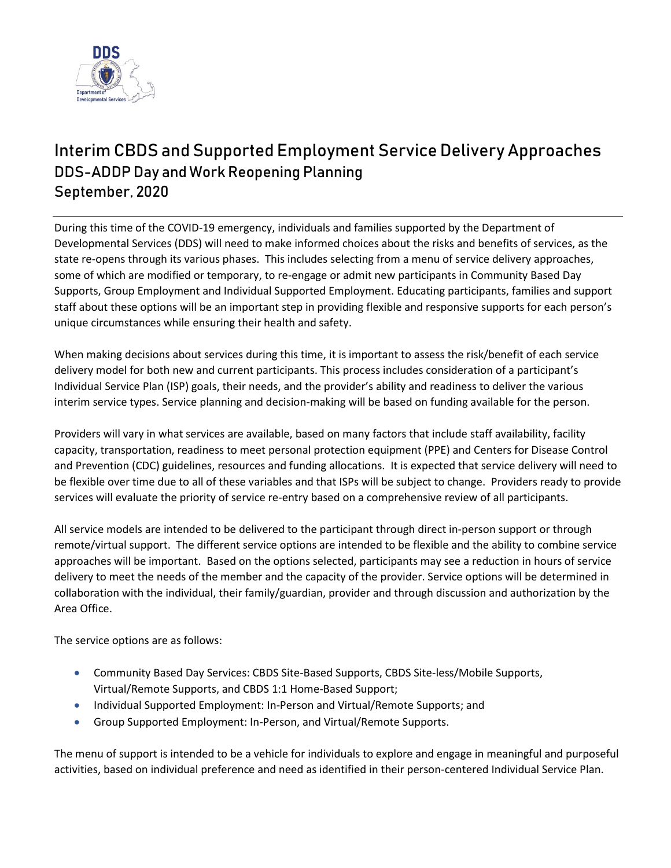

# **Interim CBDS and Supported Employment Service Delivery Approaches** DDS-ADDP Day and Work Reopening Planning September, 2020

During this time of the COVID-19 emergency, individuals and families supported by the Department of Developmental Services (DDS) will need to make informed choices about the risks and benefits of services, as the state re-opens through its various phases. This includes selecting from a menu of service delivery approaches, some of which are modified or temporary, to re-engage or admit new participants in Community Based Day Supports, Group Employment and Individual Supported Employment. Educating participants, families and support staff about these options will be an important step in providing flexible and responsive supports for each person's unique circumstances while ensuring their health and safety.

When making decisions about services during this time, it is important to assess the risk/benefit of each service delivery model for both new and current participants. This process includes consideration of a participant's Individual Service Plan (ISP) goals, their needs, and the provider's ability and readiness to deliver the various interim service types. Service planning and decision-making will be based on funding available for the person.

Providers will vary in what services are available, based on many factors that include staff availability, facility capacity, transportation, readiness to meet personal protection equipment (PPE) and Centers for Disease Control and Prevention (CDC) guidelines, resources and funding allocations. It is expected that service delivery will need to be flexible over time due to all of these variables and that ISPs will be subject to change. Providers ready to provide services will evaluate the priority of service re-entry based on a comprehensive review of all participants.

All service models are intended to be delivered to the participant through direct in-person support or through remote/virtual support. The different service options are intended to be flexible and the ability to combine service approaches will be important. Based on the options selected, participants may see a reduction in hours of service delivery to meet the needs of the member and the capacity of the provider. Service options will be determined in collaboration with the individual, their family/guardian, provider and through discussion and authorization by the Area Office.

The service options are as follows:

- Community Based Day Services: CBDS Site-Based Supports, CBDS Site-less/Mobile Supports, Virtual/Remote Supports, and CBDS 1:1 Home-Based Support;
- Individual Supported Employment: In-Person and Virtual/Remote Supports; and
- Group Supported Employment: In-Person, and Virtual/Remote Supports.

The menu of support is intended to be a vehicle for individuals to explore and engage in meaningful and purposeful activities, based on individual preference and need as identified in their person-centered Individual Service Plan.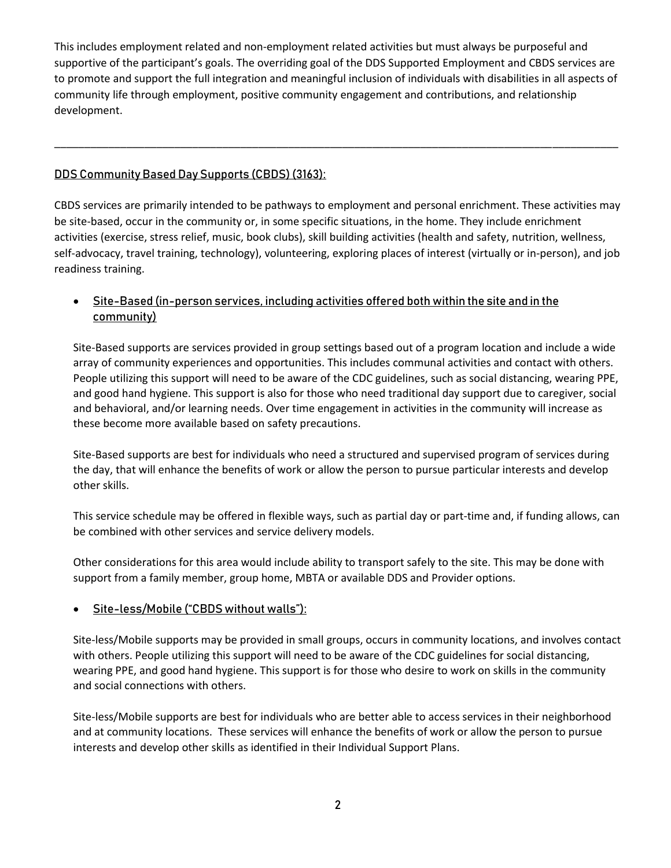This includes employment related and non-employment related activities but must always be purposeful and supportive of the participant's goals. The overriding goal of the DDS Supported Employment and CBDS services are to promote and support the full integration and meaningful inclusion of individuals with disabilities in all aspects of community life through employment, positive community engagement and contributions, and relationship development.

\_\_\_\_\_\_\_\_\_\_\_\_\_\_\_\_\_\_\_\_\_\_\_\_\_\_\_\_\_\_\_\_\_\_\_\_\_\_\_\_\_\_\_\_\_\_\_\_\_\_\_\_\_\_\_\_\_\_\_\_\_\_\_\_\_\_\_\_\_\_\_\_\_\_\_\_\_\_\_\_\_\_\_\_\_\_\_\_\_\_\_\_\_\_

# **DDS Community Based Day Supports (CBDS) (3163):**

CBDS services are primarily intended to be pathways to employment and personal enrichment. These activities may be site-based, occur in the community or, in some specific situations, in the home. They include enrichment activities (exercise, stress relief, music, book clubs), skill building activities (health and safety, nutrition, wellness, self-advocacy, travel training, technology), volunteering, exploring places of interest (virtually or in-person), and job readiness training.

# **Site-Based (in-person services, including activities offered both within the site and in the community)**

Site-Based supports are services provided in group settings based out of a program location and include a wide array of community experiences and opportunities. This includes communal activities and contact with others. People utilizing this support will need to be aware of the CDC guidelines, such as social distancing, wearing PPE, and good hand hygiene. This support is also for those who need traditional day support due to caregiver, social and behavioral, and/or learning needs. Over time engagement in activities in the community will increase as these become more available based on safety precautions.

Site-Based supports are best for individuals who need a structured and supervised program of services during the day, that will enhance the benefits of work or allow the person to pursue particular interests and develop other skills.

This service schedule may be offered in flexible ways, such as partial day or part-time and, if funding allows, can be combined with other services and service delivery models.

Other considerations for this area would include ability to transport safely to the site. This may be done with support from a family member, group home, MBTA or available DDS and Provider options.

#### **Site-less/Mobile ("CBDS without walls"):**

Site-less/Mobile supports may be provided in small groups, occurs in community locations, and involves contact with others. People utilizing this support will need to be aware of the CDC guidelines for social distancing, wearing PPE, and good hand hygiene. This support is for those who desire to work on skills in the community and social connections with others.

Site-less/Mobile supports are best for individuals who are better able to access services in their neighborhood and at community locations. These services will enhance the benefits of work or allow the person to pursue interests and develop other skills as identified in their Individual Support Plans.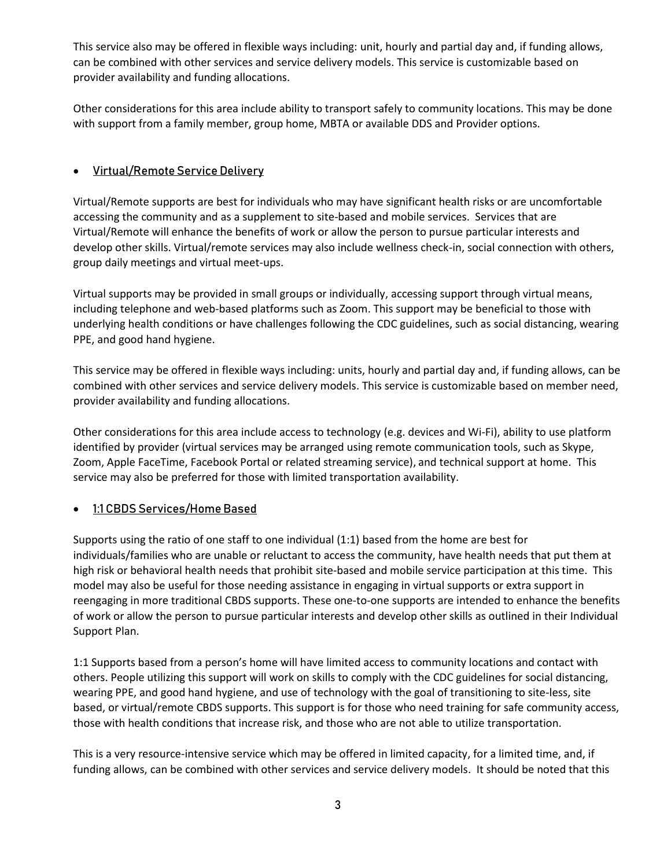This service also may be offered in flexible ways including: unit, hourly and partial day and, if funding allows, can be combined with other services and service delivery models. This service is customizable based on provider availability and funding allocations.

Other considerations for this area include ability to transport safely to community locations. This may be done with support from a family member, group home, MBTA or available DDS and Provider options.

# **Virtual/Remote Service Delivery**

Virtual/Remote supports are best for individuals who may have significant health risks or are uncomfortable accessing the community and as a supplement to site-based and mobile services. Services that are Virtual/Remote will enhance the benefits of work or allow the person to pursue particular interests and develop other skills. Virtual/remote services may also include wellness check-in, social connection with others, group daily meetings and virtual meet-ups.

Virtual supports may be provided in small groups or individually, accessing support through virtual means, including telephone and web-based platforms such as Zoom. This support may be beneficial to those with underlying health conditions or have challenges following the CDC guidelines, such as social distancing, wearing PPE, and good hand hygiene.

This service may be offered in flexible ways including: units, hourly and partial day and, if funding allows, can be combined with other services and service delivery models. This service is customizable based on member need, provider availability and funding allocations.

Other considerations for this area include access to technology (e.g. devices and Wi-Fi), ability to use platform identified by provider (virtual services may be arranged using remote communication tools, such as Skype, Zoom, Apple FaceTime, Facebook Portal or related streaming service), and technical support at home. This service may also be preferred for those with limited transportation availability.

# **1:1 CBDS Services/Home Based**

Supports using the ratio of one staff to one individual (1:1) based from the home are best for individuals/families who are unable or reluctant to access the community, have health needs that put them at high risk or behavioral health needs that prohibit site-based and mobile service participation at this time. This model may also be useful for those needing assistance in engaging in virtual supports or extra support in reengaging in more traditional CBDS supports. These one-to-one supports are intended to enhance the benefits of work or allow the person to pursue particular interests and develop other skills as outlined in their Individual Support Plan.

1:1 Supports based from a person's home will have limited access to community locations and contact with others. People utilizing this support will work on skills to comply with the CDC guidelines for social distancing, wearing PPE, and good hand hygiene, and use of technology with the goal of transitioning to site-less, site based, or virtual/remote CBDS supports. This support is for those who need training for safe community access, those with health conditions that increase risk, and those who are not able to utilize transportation.

This is a very resource-intensive service which may be offered in limited capacity, for a limited time, and, if funding allows, can be combined with other services and service delivery models. It should be noted that this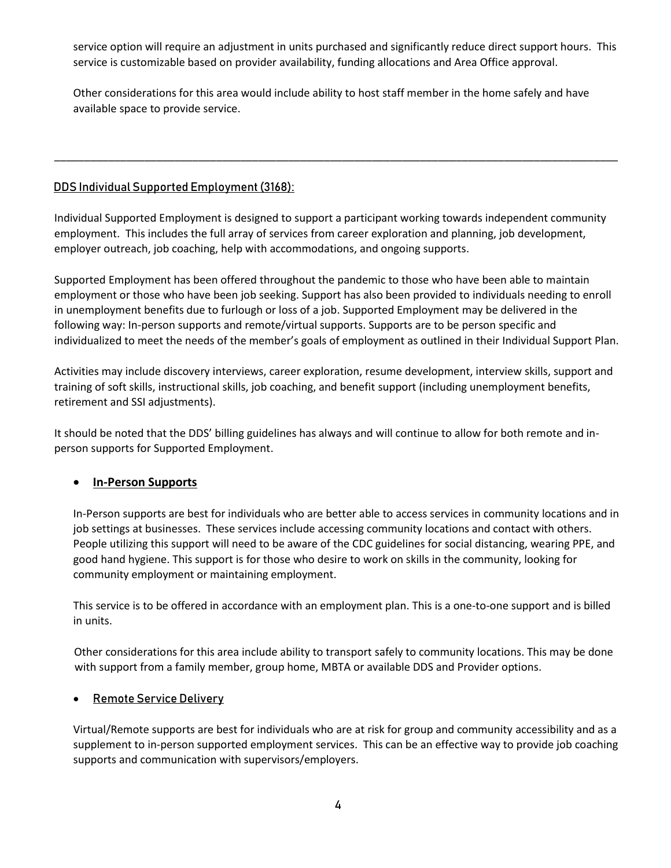service option will require an adjustment in units purchased and significantly reduce direct support hours. This service is customizable based on provider availability, funding allocations and Area Office approval.

Other considerations for this area would include ability to host staff member in the home safely and have available space to provide service.

\_\_\_\_\_\_\_\_\_\_\_\_\_\_\_\_\_\_\_\_\_\_\_\_\_\_\_\_\_\_\_\_\_\_\_\_\_\_\_\_\_\_\_\_\_\_\_\_\_\_\_\_\_\_\_\_\_\_\_\_\_\_\_\_\_\_\_\_\_\_\_\_\_\_\_\_\_\_\_\_\_\_\_\_\_\_\_\_\_\_\_\_\_\_

### **DDS Individual Supported Employment (3168):**

Individual Supported Employment is designed to support a participant working towards independent community employment. This includes the full array of services from career exploration and planning, job development, employer outreach, job coaching, help with accommodations, and ongoing supports.

Supported Employment has been offered throughout the pandemic to those who have been able to maintain employment or those who have been job seeking. Support has also been provided to individuals needing to enroll in unemployment benefits due to furlough or loss of a job. Supported Employment may be delivered in the following way: In-person supports and remote/virtual supports. Supports are to be person specific and individualized to meet the needs of the member's goals of employment as outlined in their Individual Support Plan.

Activities may include discovery interviews, career exploration, resume development, interview skills, support and training of soft skills, instructional skills, job coaching, and benefit support (including unemployment benefits, retirement and SSI adjustments).

It should be noted that the DDS' billing guidelines has always and will continue to allow for both remote and inperson supports for Supported Employment.

# **In-Person Supports**

In-Person supports are best for individuals who are better able to access services in community locations and in job settings at businesses. These services include accessing community locations and contact with others. People utilizing this support will need to be aware of the CDC guidelines for social distancing, wearing PPE, and good hand hygiene. This support is for those who desire to work on skills in the community, looking for community employment or maintaining employment.

This service is to be offered in accordance with an employment plan. This is a one-to-one support and is billed in units.

Other considerations for this area include ability to transport safely to community locations. This may be done with support from a family member, group home, MBTA or available DDS and Provider options.

#### **Remote Service Delivery**

Virtual/Remote supports are best for individuals who are at risk for group and community accessibility and as a supplement to in-person supported employment services. This can be an effective way to provide job coaching supports and communication with supervisors/employers.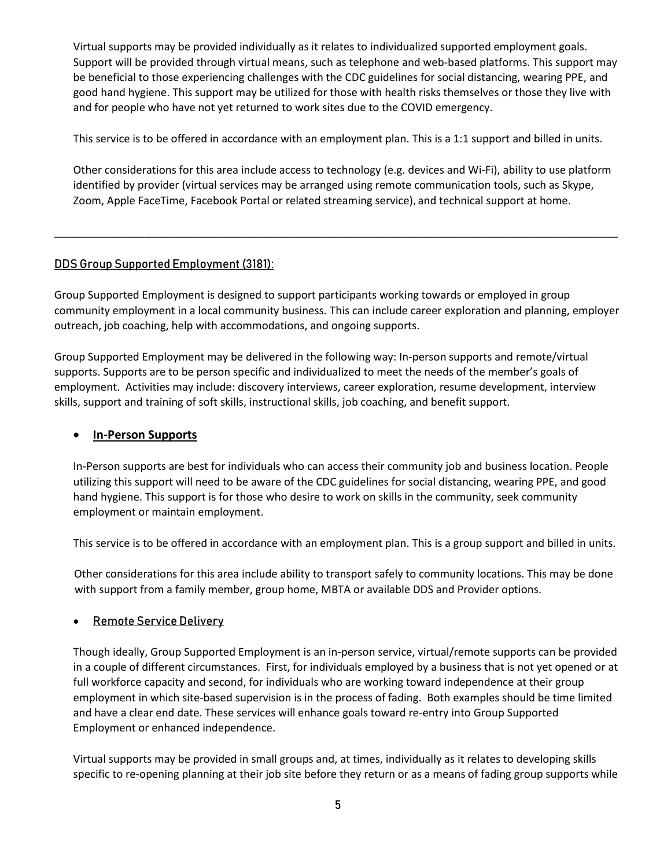Virtual supports may be provided individually as it relates to individualized supported employment goals. Support will be provided through virtual means, such as telephone and web-based platforms. This support may be beneficial to those experiencing challenges with the CDC guidelines for social distancing, wearing PPE, and good hand hygiene. This support may be utilized for those with health risks themselves or those they live with and for people who have not yet returned to work sites due to the COVID emergency.

This service is to be offered in accordance with an employment plan. This is a 1:1 support and billed in units.

Other considerations for this area include access to technology (e.g. devices and Wi-Fi), ability to use platform identified by provider (virtual services may be arranged using remote communication tools, such as Skype, Zoom, Apple FaceTime, Facebook Portal or related streaming service)**,** and technical support at home.

#### **DDS Group Supported Employment (3181):**

Group Supported Employment is designed to support participants working towards or employed in group community employment in a local community business. This can include career exploration and planning, employer outreach, job coaching, help with accommodations, and ongoing supports.

\_\_\_\_\_\_\_\_\_\_\_\_\_\_\_\_\_\_\_\_\_\_\_\_\_\_\_\_\_\_\_\_\_\_\_\_\_\_\_\_\_\_\_\_\_\_\_\_\_\_\_\_\_\_\_\_\_\_\_\_\_\_\_\_\_\_\_\_\_\_\_\_\_\_\_\_\_\_\_\_\_\_\_\_\_\_\_\_\_\_\_\_\_\_

Group Supported Employment may be delivered in the following way: In-person supports and remote/virtual supports. Supports are to be person specific and individualized to meet the needs of the member's goals of employment. Activities may include: discovery interviews, career exploration, resume development, interview skills, support and training of soft skills, instructional skills, job coaching, and benefit support.

#### **In-Person Supports**

In-Person supports are best for individuals who can access their community job and business location. People utilizing this support will need to be aware of the CDC guidelines for social distancing, wearing PPE, and good hand hygiene. This support is for those who desire to work on skills in the community, seek community employment or maintain employment.

This service is to be offered in accordance with an employment plan. This is a group support and billed in units.

Other considerations for this area include ability to transport safely to community locations. This may be done with support from a family member, group home, MBTA or available DDS and Provider options.

#### **Remote Service Delivery**

Though ideally, Group Supported Employment is an in-person service, virtual/remote supports can be provided in a couple of different circumstances. First, for individuals employed by a business that is not yet opened or at full workforce capacity and second, for individuals who are working toward independence at their group employment in which site-based supervision is in the process of fading. Both examples should be time limited and have a clear end date. These services will enhance goals toward re-entry into Group Supported Employment or enhanced independence.

Virtual supports may be provided in small groups and, at times, individually as it relates to developing skills specific to re-opening planning at their job site before they return or as a means of fading group supports while